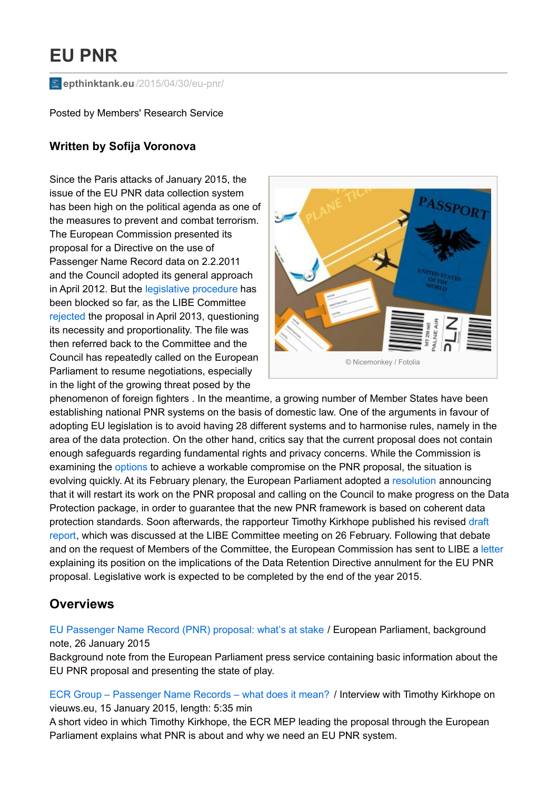# **EU PNR**

**epthinktank.eu** [/2015/04/30/eu-pnr/](http://epthinktank.eu/2015/04/30/eu-pnr/)

Posted by Members' Research Service

## **Written by Sofija Voronova**

Since the Paris attacks of January 2015, the issue of the EU PNR data collection system has been high on the political agenda as one of the measures to prevent and combat terrorism. The European Commission presented its proposal for a Directive on the use of Passenger Name Record data on 2.2.2011 and the Council adopted its general approach in April 2012. But the legislative [procedure](http://www.europarl.europa.eu/oeil/popups/ficheprocedure.do?lang=en&reference=2011/0023%28COD%29) has been blocked so far, as the LIBE Committee [rejected](http://www.europarl.europa.eu/news/en/news-room/content/20130422IPR07523/html/Civil-Liberties-Committee-rejects-EU-Passenger-Name-Record-proposal) the proposal in April 2013, questioning its necessity and proportionality. The file was then referred back to the Committee and the Council has repeatedly called on the European Parliament to resume negotiations, especially in the light of the growing threat posed by the



phenomenon of foreign fighters . In the meantime, a growing number of Member States have been establishing national PNR systems on the basis of domestic law. One of the arguments in favour of adopting EU legislation is to avoid having 28 different systems and to harmonise rules, namely in the area of the data protection. On the other hand, critics say that the current proposal does not contain enough safeguards regarding fundamental rights and privacy concerns. While the Commission is examining the [options](http://statewatch.org/news/2015/jan/eu-com-new-pnr-note.pdf) to achieve a workable compromise on the PNR proposal, the situation is evolving quickly. At its February plenary, the European Parliament adopted a [resolution](http://www.europarl.europa.eu/pdfs/news/expert/infopress/20150206IPR21217/20150206IPR21217_en.pdf) announcing that it will restart its work on the PNR proposal and calling on the Council to make progress on the Data Protection package, in order to guarantee that the new PNR framework is based on coherent data protection standards. Soon [afterwards,](http://www.europarl.europa.eu/sides/getDoc.do?pubRef=-//EP//NONSGML+COMPARL+PE-549.223+01+DOC+PDF+V0//EN&language=EN) the rapporteur Timothy Kirkhope published his revised draft report, which was discussed at the LIBE Committee meeting on 26 February. Following that debate and on the request of Members of the Committee, the European Commission has sent to LIBE a [letter](http://statewatch.org/news/2015/mar/eu-com-eu-pnr-letter.pdf) explaining its position on the implications of the Data Retention Directive annulment for the EU PNR proposal. Legislative work is expected to be completed by the end of the year 2015.

# **Overviews**

EU [Passenger](http://www.europarl.europa.eu/news/en/news-room/content/20150123BKG12902/html/EU-Passenger-Name-Record-%28PNR%29-proposal-what%27s-at-stake) Name Record (PNR) proposal: what's at stake / European Parliament, background note, 26 January 2015

Background note from the European Parliament press service containing basic information about the EU PNR proposal and presenting the state of play.

ECR Group – [Passenger](http://www.vieuws.eu/ecr-group/ecr-group-passenger-name-records-what-does-it-mean-2/) Name Records – what does it mean? / Interview with Timothy Kirkhope on vieuws.eu, 15 January 2015, length: 5:35 min

A short video in which Timothy Kirkhope, the ECR MEP leading the proposal through the European Parliament explains what PNR is about and why we need an EU PNR system.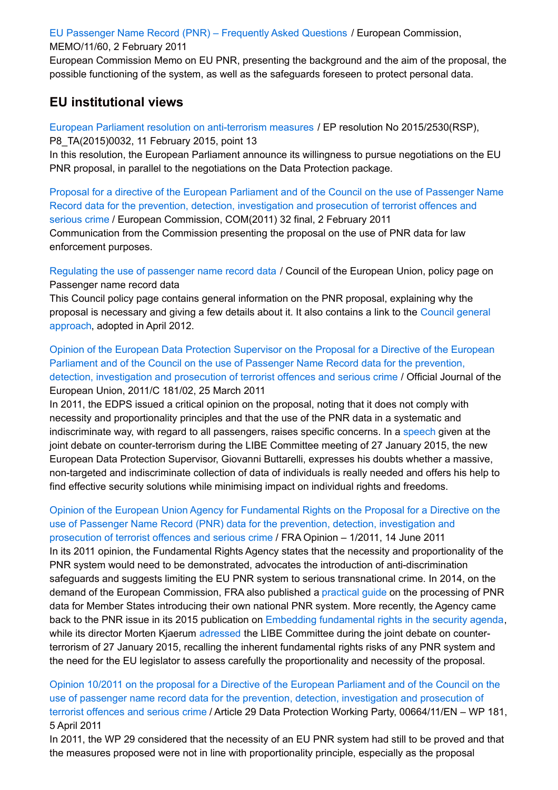EU [Passenger](http://europa.eu/rapid/press-release_MEMO-11-60_en.htm) Name Record (PNR) – Frequently Asked Questions / European Commission,

#### MEMO/11/60, 2 February 2011

European Commission Memo on EU PNR, presenting the background and the aim of the proposal, the possible functioning of the system, as well as the safeguards foreseen to protect personal data.

## **EU institutional views**

European Parliament resolution on [anti-terrorism](http://www.europarl.europa.eu/sides/getDoc.do?pubRef=-%2f%2fEP%2f%2fTEXT%2bTA%2bP8-TA-2015-0032%2b0%2bDOC%2bXML%2bV0%2f%2fEN&language=EN) measures / EP resolution No 2015/2530(RSP), P8\_TA(2015)0032, 11 February 2015, point 13

In this resolution, the European Parliament announce its willingness to pursue negotiations on the EU PNR proposal, in parallel to the negotiations on the Data Protection package.

Proposal for a directive of the European Parliament and of the Council on the use of Passenger Name Record data for the prevention, detection, investigation and prosecution of terrorist offences and serious crime / European [Commission,](http://ec.europa.eu/home-affairs/news/intro/docs/com_2011_32_en.pdf) COM(2011) 32 final, 2 February 2011 Communication from the Commission presenting the proposal on the use of PNR data for law enforcement purposes.

[Regulating](http://www.consilium.europa.eu/en/policies/fight-against-terrorism/passenger-name-record/) the use of passenger name record data / Council of the European Union, policy page on Passenger name record data

This Council policy page contains general information on the PNR proposal, explaining why the proposal is [necessary](http://register.consilium.europa.eu/doc/srv?l=EN&f=ST 8916 2012 INIT) and giving a few details about it. It also contains a link to the Council general approach, adopted in April 2012.

Opinion of the European Data Protection Supervisor on the Proposal for a Directive of the European Parliament and of the Council on the use of Passenger Name Record data for the prevention, detection, [investigation](http://eur-lex.europa.eu/legal-content/EN/TXT/?uri=celex:52011XX0622%2802%29) and prosecution of terrorist offences and serious crime / Official Journal of the European Union, 2011/C 181/02, 25 March 2011

In 2011, the EDPS issued a critical opinion on the proposal, noting that it does not comply with necessity and proportionality principles and that the use of the PNR data in a systematic and indiscriminate way, with regard to all passengers, raises specific concerns. In a [speech](https://secure.edps.europa.eu/EDPSWEB/webdav/site/mySite/shared/Documents/EDPS/Publications/Speeches/2015/15-01-27_Libe_speech_GB_EN.pdf) given at the joint debate on counter-terrorism during the LIBE Committee meeting of 27 January 2015, the new European Data Protection Supervisor, Giovanni Buttarelli, expresses his doubts whether a massive, non-targeted and indiscriminate collection of data of individuals is really needed and offers his help to find effective security solutions while minimising impact on individual rights and freedoms.

Opinion of the European Union Agency for [Fundamental](http://fra.europa.eu/sites/default/files/fra_uploads/1654-FRA-PNR-Opinion-June2011.pdf) Rights on the Proposal for a Directive on the use of Passenger Name Record (PNR) data for the prevention, detection, investigation and prosecution of terrorist offences and serious crime / FRA Opinion – 1/2011, 14 June 2011 In its 2011 opinion, the Fundamental Rights Agency states that the necessity and proportionality of the PNR system would need to be demonstrated, advocates the introduction of anti-discrimination safeguards and suggests limiting the EU PNR system to serious transnational crime. In 2014, on the demand of the European Commission, FRA also published a [practical](http://fra.europa.eu/en/theme/information-society-privacy-and-data-protection/practical-guidance#data-protection) guide on the processing of PNR data for Member States introducing their own national PNR system. More recently, the Agency came back to the PNR issue in its 2015 publication on Embedding [fundamental](http://fra.europa.eu/en/publication/2015/embedding-fundamental-rights-security-agenda) rights in the security agenda, while its director Morten Kjaerum [adressed](http://fra.europa.eu/en/speech/2015/libe-committee-joint-debate-counter-terrorism-deradicalisation-and-foreign-fighters) the LIBE Committee during the joint debate on counterterrorism of 27 January 2015, recalling the inherent fundamental rights risks of any PNR system and the need for the EU legislator to assess carefully the proportionality and necessity of the proposal.

Opinion 10/2011 on the proposal for a Directive of the European Parliament and of the Council on the use of passenger name record data for the prevention, detection, investigation and prosecution of terrorist offences and serious crime / Article 29 Data Protection Working Party, [00664/11/EN](http://ec.europa.eu/justice/policies/privacy/docs/wpdocs/2011/wp181_en.pdf) – WP 181, 5 April 2011

In 2011, the WP 29 considered that the necessity of an EU PNR system had still to be proved and that the measures proposed were not in line with proportionality principle, especially as the proposal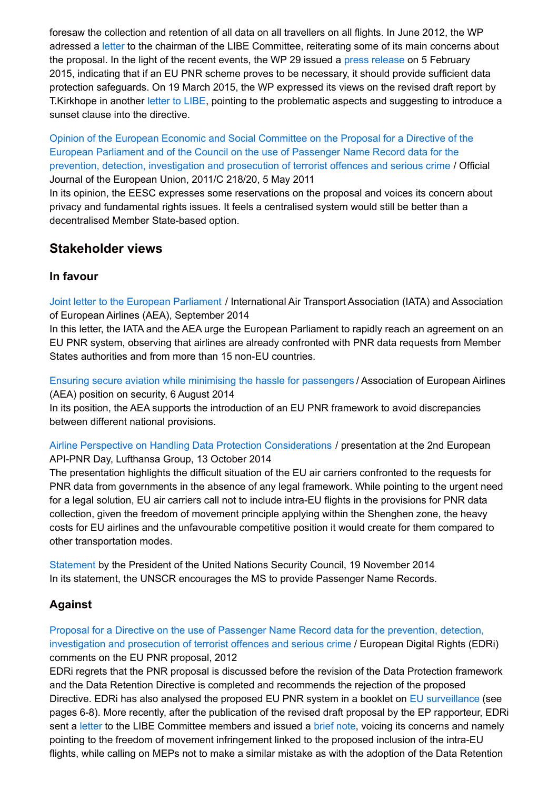foresaw the collection and retention of all data on all travellers on all flights. In June 2012, the WP adressed a [letter](http://ec.europa.eu/justice/data-protection/article-29/documentation/other-document/files/2012/20120612_letter_to_libe_eu-pnr_en.pdf) to the chairman of the LIBE Committee, reiterating some of its main concerns about the proposal. In the light of the recent events, the WP 29 issued a press [release](http://ec.europa.eu/justice/data-protection/article-29/press-material/press-release/art29_press_material/20150205_wp29_press_release_eu_pnr_en.pdf) on 5 February 2015, indicating that if an EU PNR scheme proves to be necessary, it should provide sufficient data protection safeguards. On 19 March 2015, the WP expressed its views on the revised draft report by T.Kirkhope in another [letter](http://ec.europa.eu/justice/data-protection/article-29/documentation/other-document/files/2015/20150319__letter_of_the_art_29_wp_on_eu_pnr.pdf) to LIBE, pointing to the problematic aspects and suggesting to introduce a sunset clause into the directive.

Opinion of the European Economic and Social Committee on the Proposal for a Directive of the European Parliament and of the Council on the use of Passenger Name Record data for the prevention, detection, [investigation](http://eur-lex.europa.eu/legal-content/EN/TXT/?uri=celex:52011AE0803) and prosecution of terrorist offences and serious crime / Official Journal of the European Union, 2011/C 218/20, 5 May 2011

In its opinion, the EESC expresses some reservations on the proposal and voices its concern about privacy and fundamental rights issues. It feels a centralised system would still be better than a decentralised Member State-based option.

# **Stakeholder views**

## **In favour**

Joint letter to the European [Parliament](https://netzpolitik.org/wp-upload/2014-09_AEA_IATA_Joint_letter_on_EU_PNR.pdf) / International Air Transport Association (IATA) and Association of European Airlines (AEA), September 2014

In this letter, the IATA and the AEA urge the European Parliament to rapidly reach an agreement on an EU PNR system, observing that airlines are already confronted with PNR data requests from Member States authorities and from more than 15 non-EU countries.

Ensuring secure aviation while minimising the hassle for [passengers](http://www.aea.be/component/attachments/attachments.html?id=93&task=view) / Association of European Airlines (AEA) position on security, 6 August 2014

In its position, the AEA supports the introduction of an EU PNR framework to avoid discrepancies between different national provisions.

Airline Perspective on Handling Data Protection [Considerations](http://www.icao.int/EURNAT/Other Meetings Seminars and Workshops/2014 FAL Seminar Paris/Day1 PPT27 E.pdf) / presentation at the 2nd European API-PNR Day, Lufthansa Group, 13 October 2014

The presentation highlights the difficult situation of the EU air carriers confronted to the requests for PNR data from governments in the absence of any legal framework. While pointing to the urgent need for a legal solution, EU air carriers call not to include intra-EU flights in the provisions for PNR data collection, given the freedom of movement principle applying within the Shenghen zone, the heavy costs for EU airlines and the unfavourable competitive position it would create for them compared to other transportation modes.

[Statement](http://www.un.org/en/sc/ctc/docs/2014/PRST_EN.pdf) by the President of the United Nations Security Council, 19 November 2014 In its statement, the UNSCR encourages the MS to provide Passenger Name Records.

# **Against**

Proposal for a Directive on the use of Passenger Name Record data for the prevention, detection, [investigation](https://edri.org/files/101212-EU-PNR-EDRicomments.pdf) and prosecution of terrorist offences and serious crime / European Digital Rights (EDRi) comments on the EU PNR proposal, 2012

EDRi regrets that the PNR proposal is discussed before the revision of the Data Protection framework and the Data Retention Directive is completed and recommends the rejection of the proposed Directive. EDRi has also analysed the proposed EU PNR system in a booklet on EU [surveillance](https://edri.org/wp-content/uploads/2013/10/paper02_web_20120123.pdf) (see pages 6-8). More recently, after the publication of the revised draft proposal by the EP rapporteur, EDRi sent a [letter](https://edri.org/files/PNR2015/PNRletter-EDRi.pdf) to the LIBE Committee members and issued a [brief](https://edri.org/files/PNR2015/PNRbrief-EDRi.pdf) note, voicing its concerns and namely pointing to the freedom of movement infringement linked to the proposed inclusion of the intra-EU flights, while calling on MEPs not to make a similar mistake as with the adoption of the Data Retention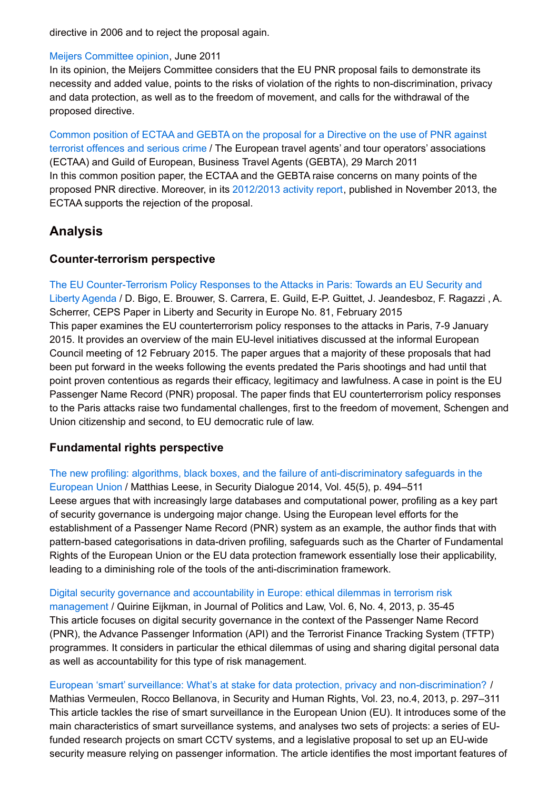directive in 2006 and to reject the proposal again.

#### Meijers [Committee](http://www.europarl.europa.eu/RegData/courrier_officiel/arrivee/2011/EP-PE_LTA%282011%29006920_EN.pdf) opinion, June 2011

In its opinion, the Meijers Committee considers that the EU PNR proposal fails to demonstrate its necessity and added value, points to the risks of violation of the rights to non-discrimination, privacy and data protection, as well as to the freedom of movement, and calls for the withdrawal of the proposed directive.

Common position of ECTAA and GEBTA on the proposal for a Directive on the use of PNR against terrorist offences and serious crime / The European travel agents' and tour operators' [associations](http://www.ectaa.org/files/cms/il11-050-4477.pdf) (ECTAA) and Guild of European, Business Travel Agents (GEBTA), 29 March 2011 In this common position paper, the ECTAA and the GEBTA raise concerns on many points of the proposed PNR directive. Moreover, in its [2012/2013](http://www.ectaa.org/files/cms/cr13-153-123.pdf) activity report, published in November 2013, the ECTAA supports the rejection of the proposal.

# **Analysis**

### **Counter-terrorism perspective**

The EU [Counter-Terrorism](http://www.ceps.eu/publications/eu-counter-terrorism-policy-responses-attacks-paris-towards-eu-security-and-liberty) Policy Responses to the Attacks in Paris: Towards an EU Security and Liberty Agenda / D. Bigo, E. Brouwer, S. Carrera, E. Guild, E-P. Guittet, J. Jeandesboz, F. Ragazzi , A. Scherrer, CEPS Paper in Liberty and Security in Europe No. 81, February 2015 This paper examines the EU counterterrorism policy responses to the attacks in Paris, 7-9 January 2015. It provides an overview of the main EU-level initiatives discussed at the informal European Council meeting of 12 February 2015. The paper argues that a majority of these proposals that had been put forward in the weeks following the events predated the Paris shootings and had until that point proven contentious as regards their efficacy, legitimacy and lawfulness. A case in point is the EU Passenger Name Record (PNR) proposal. The paper finds that EU counterterrorism policy responses to the Paris attacks raise two fundamental challenges, first to the freedom of movement, Schengen and Union citizenship and second, to EU democratic rule of law.

## **Fundamental rights perspective**

The new profiling: algorithms, black boxes, and the failure of [anti-discriminatory](http://sdi.sagepub.com/content/45/5/494) safeguards in the European Union / Matthias Leese, in Security Dialogue 2014, Vol. 45(5), p. 494–511 Leese argues that with increasingly large databases and computational power, profiling as a key part of security governance is undergoing major change. Using the European level efforts for the establishment of a Passenger Name Record (PNR) system as an example, the author finds that with pattern-based categorisations in data-driven profiling, safeguards such as the Charter of Fundamental Rights of the European Union or the EU data protection framework essentially lose their applicability, leading to a diminishing role of the tools of the anti-discrimination framework.

Digital security governance and [accountability](http://dx.doi.org/10.5539/jpl.v6n4p35) in Europe: ethical dilemmas in terrorism risk management / Quirine Eijkman, in Journal of Politics and Law, Vol. 6, No. 4, 2013, p. 35-45 This article focuses on digital security governance in the context of the Passenger Name Record (PNR), the Advance Passenger Information (API) and the Terrorist Finance Tracking System (TFTP) programmes. It considers in particular the ethical dilemmas of using and sharing digital personal data as well as accountability for this type of risk management.

#### European 'smart' surveillance: What's at stake for data protection, privacy and [non-discrimination?](http://dial.academielouvain.be/handle/boreal:155104) /

Mathias Vermeulen, Rocco Bellanova, in Security and Human Rights, Vol. 23, no.4, 2013, p. 297–311 This article tackles the rise of smart surveillance in the European Union (EU). It introduces some of the main characteristics of smart surveillance systems, and analyses two sets of projects: a series of EUfunded research projects on smart CCTV systems, and a legislative proposal to set up an EU-wide security measure relying on passenger information. The article identifies the most important features of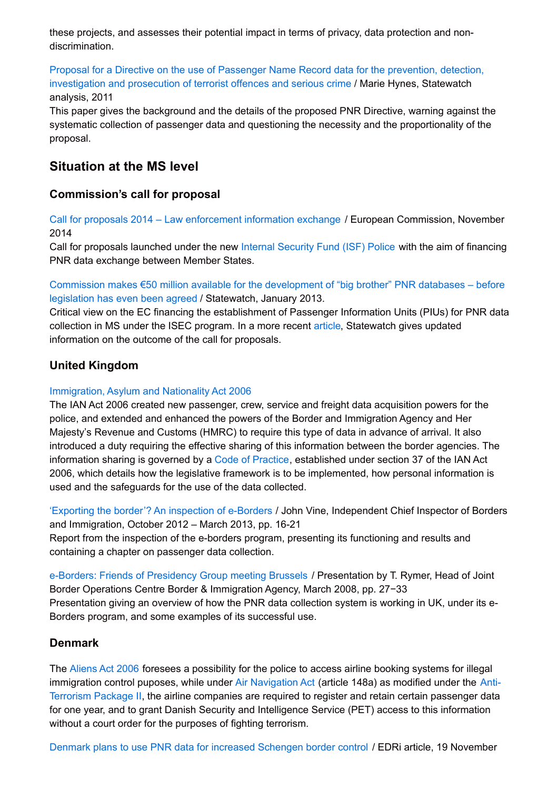these projects, and assesses their potential impact in terms of privacy, data protection and nondiscrimination.

Proposal for a Directive on the use of Passenger Name Record data for the prevention, detection, [investigation](http://www.statewatch.org/analyses/no-126-eu-pnr.pdf) and prosecution of terrorist offences and serious crime / Marie Hynes, Statewatch analysis, 2011

This paper gives the background and the details of the proposed PNR Directive, warning against the systematic collection of passenger data and questioning the necessity and the proportionality of the proposal.

# **Situation at the MS level**

## **Commission's call for proposal**

Call for proposals 2014 – Law [enforcement](http://ec.europa.eu/dgs/home-affairs/financing/fundings/security-and-safeguarding-liberties/internal-security-fund-police/calls/2014/isfp-ag-lawx/docs/isfp_2014_lawx_call_en.pdf) information exchange / European Commission, November 2014

Call for proposals launched under the new Internal [Security](http://ec.europa.eu/dgs/home-affairs/financing/fundings/security-and-safeguarding-liberties/internal-security-fund-police/union-actions/index_en.htm) Fund (ISF) Police with the aim of financing PNR data exchange between Member States.

Commission makes €50 million available for the [development](http://www.statewatch.org/news/2013/jan/07-pnr-com-money.htm) of "big brother" PNR databases – before legislation has even been agreed / Statewatch, January 2013.

Critical view on the EC financing the establishment of Passenger Information Units (PIUs) for PNR data collection in MS under the ISEC program. In a more recent [article](http://www.statewatch.org/news/2014/oct/pnr-back-door.htm), Statewatch gives updated information on the outcome of the call for proposals.

## **United Kingdom**

#### [Immigration,](http://www.legislation.gov.uk/ukpga/2006/13/contents) Asylum and Nationality Act 2006

The IAN Act 2006 created new passenger, crew, service and freight data acquisition powers for the police, and extended and enhanced the powers of the Border and Immigration Agency and Her Majesty's Revenue and Customs (HMRC) to require this type of data in advance of arrival. It also introduced a duty requiring the effective sharing of this information between the border agencies. The information sharing is governed by a Code of [Practice](http://www.statewatch.org/news/2008/may/uk-cop-data-share-borders.pdf), established under section 37 of the IAN Act 2006, which details how the legislative framework is to be implemented, how personal information is used and the safeguards for the use of the data collected.

'Exporting the border'? An [inspection](http://icinspector.independent.gov.uk/wp-content/uploads/2013/10/An-Inspection-of-eborders.pdf) of e-Borders / John Vine, Independent Chief Inspector of Borders and Immigration, October 2012 – March 2013, pp. 16-21

Report from the inspection of the e-borders program, presenting its functioning and results and containing a chapter on passenger data collection.

e-Borders: Friends of [Presidency](http://www.statewatch.org/news/2008/may/uk-pnr-semaphore.pdf) Group meeting Brussels / Presentation by T. Rymer, Head of Joint Border Operations Centre Border & Immigration Agency, March 2008, pp. 27−33 Presentation giving an overview of how the PNR data collection system is working in UK, under its e-Borders program, and some examples of its successful use.

#### **Denmark**

The [Aliens](https://www.nyidanmark.dk/NR/rdonlyres/C2A9678D-73B3-41B0-A076-67C6660E482B/0/alens_consolidation_act_english.pdf#page=31) Act 2006 foresees a possibility for the police to access airline booking systems for illegal [immigration](https://www.pet.dk/English/Legal matters/Anti terrorism.aspx) control puposes, while under Air [Navigation](http://selvbetjening.trafikstyrelsen.dk/civilluftfart/Dokumenter/English/Rules and Regulations/Air Navigation Act.pdf#page=33) Act (article 148a) as modified under the Anti-Terrorism Package II, the airline companies are required to register and retain certain passenger data for one year, and to grant Danish Security and Intelligence Service (PET) access to this information without a court order for the purposes of fighting terrorism.

Denmark plans to use PNR data for increased [Schengen](https://edri.org/denmark-pnr-schengen-border-control/) border control / EDRi article, 19 November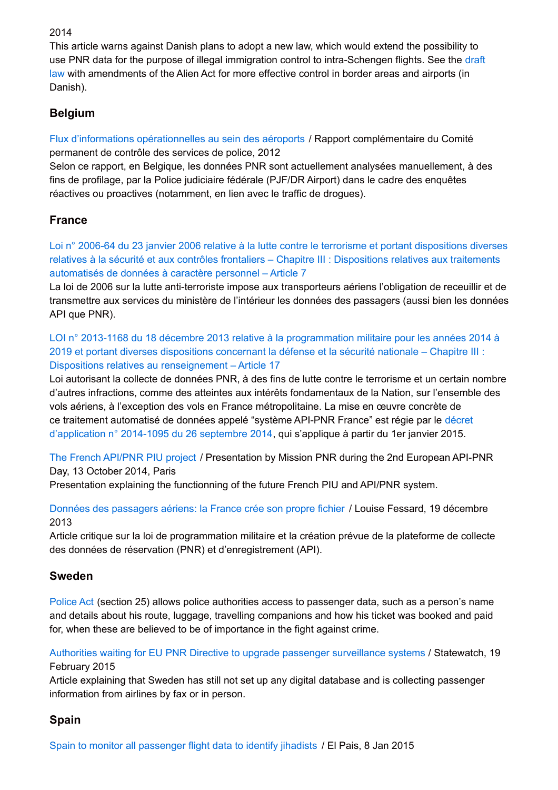#### 2014

This article warns against Danish plans to adopt a new law, which would extend the possibility to use PNR data for the purpose of illegal immigration control to [intra-Schengen](http://hoeringsportalen.dk/Hearing/Details/42124) flights. See the draft law with amendments of the Alien Act for more effective control in border areas and airports (in Danish).

# **Belgium**

Flux d'informations [opérationnelles](http://www.comitep.be/AdditionalReports/2012-06-12_FR_informatiestromen_luchthavens.pdf#page=22) au sein des aéroports / Rapport complémentaire du Comité permanent de contrôle des services de police, 2012

Selon ce rapport, en Belgique, les données PNR sont actuellement analysées manuellement, à des fins de profilage, par la Police judiciaire fédérale (PJF/DR Airport) dans le cadre des enquêtes réactives ou proactives (notamment, en lien avec le traffic de drogues).

# **France**

Loi n° 2006-64 du 23 janvier 2006 relative à la lutte contre le terrorisme et portant dispositions diverses relatives à la sécurité et aux contrôles frontaliers – Chapitre III : [Dispositions](http://www.legifrance.gouv.fr/affichTexteArticle.do;jsessionid=A6A30F2B9F2C0D4F0767CA704BDC5046.tpdila09v_1?idArticle=LEGIARTI000023712255&cidTexte=LEGITEXT000006053177&dateTexte=20150225) relatives aux traitements automatisés de données à caractère personnel – Article 7

La loi de 2006 sur la lutte anti-terroriste impose aux transporteurs aériens l'obligation de receuillir et de transmettre aux services du ministère de l'intérieur les données des passagers (aussi bien les données API que PNR).

LOI n° 2013-1168 du 18 décembre 2013 relative à la [programmation](http://www.legifrance.gouv.fr/affichTexteArticle.do;jsessionid=8CE1706ED15E83FFA41765E7A07E7D7E.tpdila09v_1?cidTexte=JORFTEXT000028338825&idArticle=LEGIARTI000028340482&dateTexte=20131219&categorieLien=cid#LEGIARTI000028340482) militaire pour les années 2014 à 2019 et portant diverses dispositions concernant la défense et la sécurité nationale – Chapitre III : Dispositions relatives au renseignement – Article 17

Loi autorisant la collecte de données PNR, à des fins de lutte contre le terrorisme et un certain nombre d'autres infractions, comme des atteintes aux intérêts fondamentaux de la Nation, sur l'ensemble des vols aériens, à l'exception des vols en France métropolitaine. La mise en œuvre concrète de ce traitement automatisé de données appelé "système API-PNR France" est régie par le décret [d'application](http://www.legifrance.gouv.fr/affichTexte.do?cidTexte=JORFTEXT000029504412) n° 2014-1095 du 26 septembre 2014, qui s'applique à partir du 1er janvier 2015.

The French [API/PNR](http://www.icao.int/EURNAT/Other Meetings Seminars and Workshops/2014 FAL Seminar Paris/Day1 PPT24 E.pdf) PIU project / Presentation by Mission PNR during the 2nd European API-PNR Day, 13 October 2014, Paris

Presentation explaining the functionning of the future French PIU and API/PNR system.

Données des [passagers](http://democratie-reelle-nimes.over-blog.com/article-donnees-des-passagers-aeriens-la-france-cree-son-propre-fichier-121745698.html) aériens: la France crée son propre fichier / Louise Fessard, 19 décembre 2013

Article critique sur la loi de programmation militaire et la création prévue de la plateforme de collecte des données de réservation (PNR) et d'enregistrement (API).

## **Sweden**

[Police](http://www.legislationline.org/documents/id/3709) Act (section 25) allows police authorities access to passenger data, such as a person's name and details about his route, luggage, travelling companions and how his ticket was booked and paid for, when these are believed to be of importance in the fight against crime.

Authorities waiting for EU PNR Directive to upgrade passenger [surveillance](http://www.statewatch.org/news/2015/feb/sweden-api.html) systems / Statewatch, 19 February 2015

Article explaining that Sweden has still not set up any digital database and is collecting passenger information from airlines by fax or in person.

# **Spain**

Spain to monitor all [passenger](http://elpais.com/m/elpais/2015/01/08/inenglish/1420718230_848942.html) flight data to identify jihadists / El Pais, 8 Jan 2015